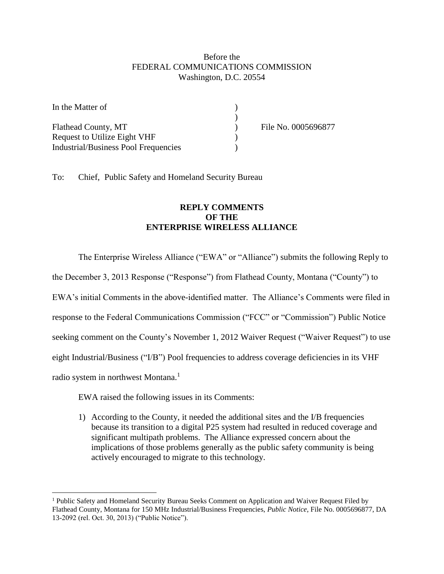### Before the FEDERAL COMMUNICATIONS COMMISSION Washington, D.C. 20554

| In the Matter of                            |                     |
|---------------------------------------------|---------------------|
|                                             |                     |
| Flathead County, MT                         | File No. 0005696877 |
| <b>Request to Utilize Eight VHF</b>         |                     |
| <b>Industrial/Business Pool Frequencies</b> |                     |

To: Chief, Public Safety and Homeland Security Bureau

## **REPLY COMMENTS OF THE ENTERPRISE WIRELESS ALLIANCE**

The Enterprise Wireless Alliance ("EWA" or "Alliance") submits the following Reply to

the December 3, 2013 Response ("Response") from Flathead County, Montana ("County") to

EWA's initial Comments in the above-identified matter. The Alliance's Comments were filed in

response to the Federal Communications Commission ("FCC" or "Commission") Public Notice

seeking comment on the County's November 1, 2012 Waiver Request ("Waiver Request") to use

eight Industrial/Business ("I/B") Pool frequencies to address coverage deficiencies in its VHF

radio system in northwest Montana.<sup>1</sup>

 $\overline{a}$ 

EWA raised the following issues in its Comments:

1) According to the County, it needed the additional sites and the I/B frequencies because its transition to a digital P25 system had resulted in reduced coverage and significant multipath problems. The Alliance expressed concern about the implications of those problems generally as the public safety community is being actively encouraged to migrate to this technology.

<sup>&</sup>lt;sup>1</sup> Public Safety and Homeland Security Bureau Seeks Comment on Application and Waiver Request Filed by Flathead County, Montana for 150 MHz Industrial/Business Frequencies, *Public Notice*, File No. 0005696877, DA 13-2092 (rel. Oct. 30, 2013) ("Public Notice").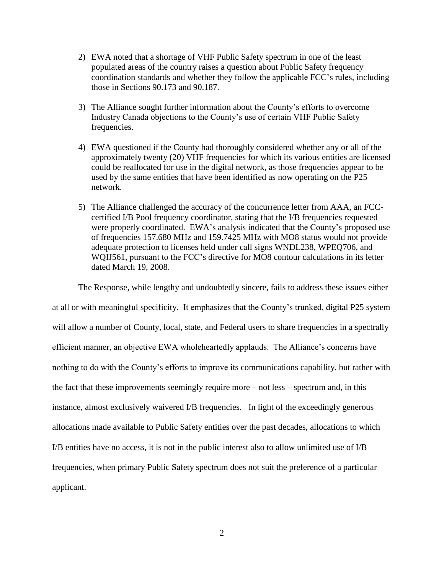- 2) EWA noted that a shortage of VHF Public Safety spectrum in one of the least populated areas of the country raises a question about Public Safety frequency coordination standards and whether they follow the applicable FCC's rules, including those in Sections 90.173 and 90.187.
- 3) The Alliance sought further information about the County's efforts to overcome Industry Canada objections to the County's use of certain VHF Public Safety frequencies.
- 4) EWA questioned if the County had thoroughly considered whether any or all of the approximately twenty (20) VHF frequencies for which its various entities are licensed could be reallocated for use in the digital network, as those frequencies appear to be used by the same entities that have been identified as now operating on the P25 network.
- 5) The Alliance challenged the accuracy of the concurrence letter from AAA, an FCCcertified I/B Pool frequency coordinator, stating that the I/B frequencies requested were properly coordinated. EWA's analysis indicated that the County's proposed use of frequencies 157.680 MHz and 159.7425 MHz with MO8 status would not provide adequate protection to licenses held under call signs WNDL238, WPEQ706, and WQIJ561, pursuant to the FCC's directive for MO8 contour calculations in its letter dated March 19, 2008.

The Response, while lengthy and undoubtedly sincere, fails to address these issues either at all or with meaningful specificity. It emphasizes that the County's trunked, digital P25 system will allow a number of County, local, state, and Federal users to share frequencies in a spectrally efficient manner, an objective EWA wholeheartedly applauds. The Alliance's concerns have nothing to do with the County's efforts to improve its communications capability, but rather with the fact that these improvements seemingly require more – not less – spectrum and, in this instance, almost exclusively waivered I/B frequencies. In light of the exceedingly generous allocations made available to Public Safety entities over the past decades, allocations to which I/B entities have no access, it is not in the public interest also to allow unlimited use of I/B frequencies, when primary Public Safety spectrum does not suit the preference of a particular applicant.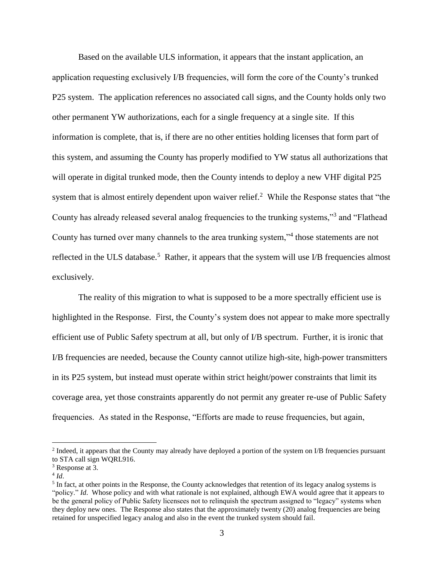Based on the available ULS information, it appears that the instant application, an application requesting exclusively I/B frequencies, will form the core of the County's trunked P25 system. The application references no associated call signs, and the County holds only two other permanent YW authorizations, each for a single frequency at a single site. If this information is complete, that is, if there are no other entities holding licenses that form part of this system, and assuming the County has properly modified to YW status all authorizations that will operate in digital trunked mode, then the County intends to deploy a new VHF digital P25 system that is almost entirely dependent upon waiver relief.<sup>2</sup> While the Response states that "the County has already released several analog frequencies to the trunking systems,"<sup>3</sup> and "Flathead County has turned over many channels to the area trunking system,"<sup>4</sup> those statements are not reflected in the ULS database.<sup>5</sup> Rather, it appears that the system will use I/B frequencies almost exclusively.

The reality of this migration to what is supposed to be a more spectrally efficient use is highlighted in the Response. First, the County's system does not appear to make more spectrally efficient use of Public Safety spectrum at all, but only of I/B spectrum. Further, it is ironic that I/B frequencies are needed, because the County cannot utilize high-site, high-power transmitters in its P25 system, but instead must operate within strict height/power constraints that limit its coverage area, yet those constraints apparently do not permit any greater re-use of Public Safety frequencies. As stated in the Response, "Efforts are made to reuse frequencies, but again,

 $\overline{a}$ 

<sup>&</sup>lt;sup>2</sup> Indeed, it appears that the County may already have deployed a portion of the system on I/B frequencies pursuant to STA call sign WQRL916.

<sup>&</sup>lt;sup>3</sup> Response at 3.

<sup>4</sup> *Id*.

<sup>&</sup>lt;sup>5</sup> In fact, at other points in the Response, the County acknowledges that retention of its legacy analog systems is "policy." *Id*. Whose policy and with what rationale is not explained, although EWA would agree that it appears to be the general policy of Public Safety licensees not to relinquish the spectrum assigned to "legacy" systems when they deploy new ones. The Response also states that the approximately twenty (20) analog frequencies are being retained for unspecified legacy analog and also in the event the trunked system should fail.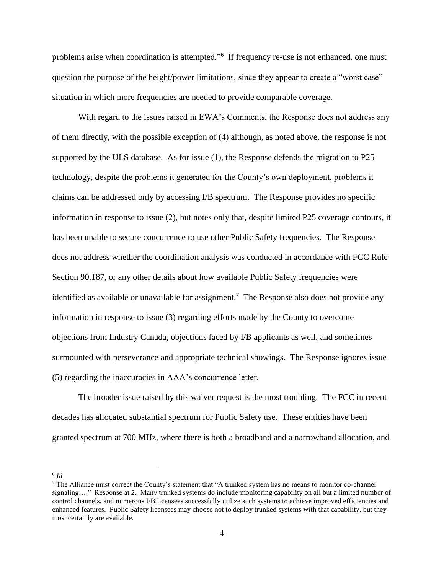problems arise when coordination is attempted."<sup>6</sup> If frequency re-use is not enhanced, one must question the purpose of the height/power limitations, since they appear to create a "worst case" situation in which more frequencies are needed to provide comparable coverage.

With regard to the issues raised in EWA's Comments, the Response does not address any of them directly, with the possible exception of (4) although, as noted above, the response is not supported by the ULS database. As for issue (1), the Response defends the migration to P25 technology, despite the problems it generated for the County's own deployment, problems it claims can be addressed only by accessing I/B spectrum. The Response provides no specific information in response to issue (2), but notes only that, despite limited P25 coverage contours, it has been unable to secure concurrence to use other Public Safety frequencies. The Response does not address whether the coordination analysis was conducted in accordance with FCC Rule Section 90.187, or any other details about how available Public Safety frequencies were identified as available or unavailable for assignment.<sup>7</sup> The Response also does not provide any information in response to issue (3) regarding efforts made by the County to overcome objections from Industry Canada, objections faced by I/B applicants as well, and sometimes surmounted with perseverance and appropriate technical showings. The Response ignores issue (5) regarding the inaccuracies in AAA's concurrence letter.

The broader issue raised by this waiver request is the most troubling. The FCC in recent decades has allocated substantial spectrum for Public Safety use. These entities have been granted spectrum at 700 MHz, where there is both a broadband and a narrowband allocation, and

 $\overline{a}$ 6 *Id.*

<sup>&</sup>lt;sup>7</sup> The Alliance must correct the County's statement that "A trunked system has no means to monitor co-channel signaling…." Response at 2. Many trunked systems do include monitoring capability on all but a limited number of control channels, and numerous I/B licensees successfully utilize such systems to achieve improved efficiencies and enhanced features. Public Safety licensees may choose not to deploy trunked systems with that capability, but they most certainly are available.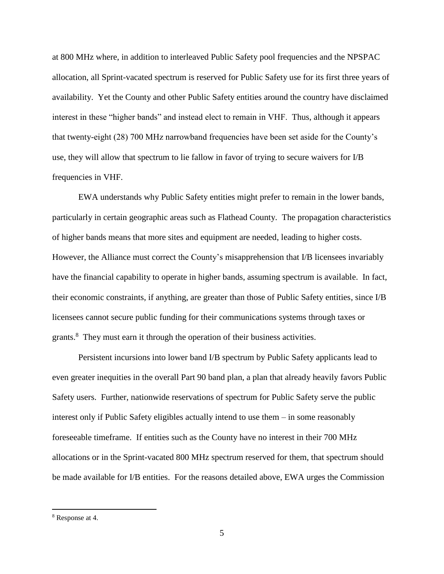at 800 MHz where, in addition to interleaved Public Safety pool frequencies and the NPSPAC allocation, all Sprint-vacated spectrum is reserved for Public Safety use for its first three years of availability. Yet the County and other Public Safety entities around the country have disclaimed interest in these "higher bands" and instead elect to remain in VHF. Thus, although it appears that twenty-eight (28) 700 MHz narrowband frequencies have been set aside for the County's use, they will allow that spectrum to lie fallow in favor of trying to secure waivers for I/B frequencies in VHF.

EWA understands why Public Safety entities might prefer to remain in the lower bands, particularly in certain geographic areas such as Flathead County. The propagation characteristics of higher bands means that more sites and equipment are needed, leading to higher costs. However, the Alliance must correct the County's misapprehension that I/B licensees invariably have the financial capability to operate in higher bands, assuming spectrum is available. In fact, their economic constraints, if anything, are greater than those of Public Safety entities, since I/B licensees cannot secure public funding for their communications systems through taxes or grants.<sup>8</sup> They must earn it through the operation of their business activities.

Persistent incursions into lower band I/B spectrum by Public Safety applicants lead to even greater inequities in the overall Part 90 band plan, a plan that already heavily favors Public Safety users. Further, nationwide reservations of spectrum for Public Safety serve the public interest only if Public Safety eligibles actually intend to use them – in some reasonably foreseeable timeframe. If entities such as the County have no interest in their 700 MHz allocations or in the Sprint-vacated 800 MHz spectrum reserved for them, that spectrum should be made available for I/B entities. For the reasons detailed above, EWA urges the Commission

 $\overline{a}$ 

<sup>8</sup> Response at 4.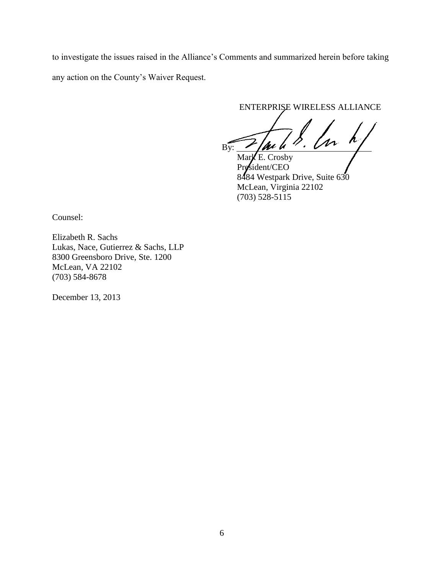to investigate the issues raised in the Alliance's Comments and summarized herein before taking any action on the County's Waiver Request.

ENTERPRISE WIRELESS ALLIANCE

By:  $\sqrt{\mu u} u$  . Uv.

Mark E. Crosby President/CEO 8484 Westpark Drive, Suite 630 McLean, Virginia 22102 (703) 528-5115

Counsel:

Elizabeth R. Sachs Lukas, Nace, Gutierrez & Sachs, LLP 8300 Greensboro Drive, Ste. 1200 McLean, VA 22102 (703) 584-8678

December 13, 2013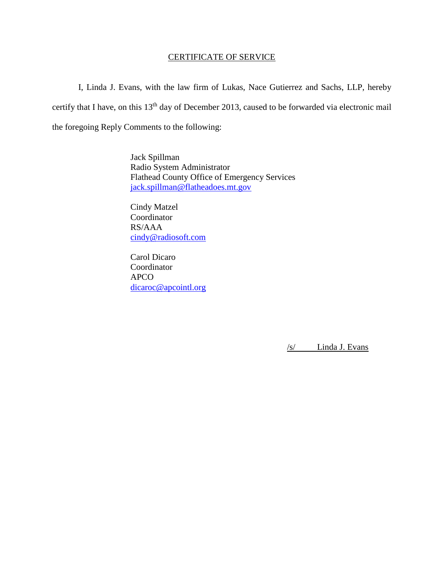## CERTIFICATE OF SERVICE

I, Linda J. Evans, with the law firm of Lukas, Nace Gutierrez and Sachs, LLP, hereby certify that I have, on this 13<sup>th</sup> day of December 2013, caused to be forwarded via electronic mail the foregoing Reply Comments to the following:

> Jack Spillman Radio System Administrator Flathead County Office of Emergency Services [jack.spillman@flatheadoes.mt.gov](mailto:jack.spillman@flatheadoes.mt.gov)

Cindy Matzel Coordinator RS/AAA [cindy@radiosoft.com](mailto:cindy@radiosoft.com)

Carol Dicaro Coordinator APCO [dicaroc@apcointl.org](mailto:dicaroc@apcointl.org)

/s/ Linda J. Evans